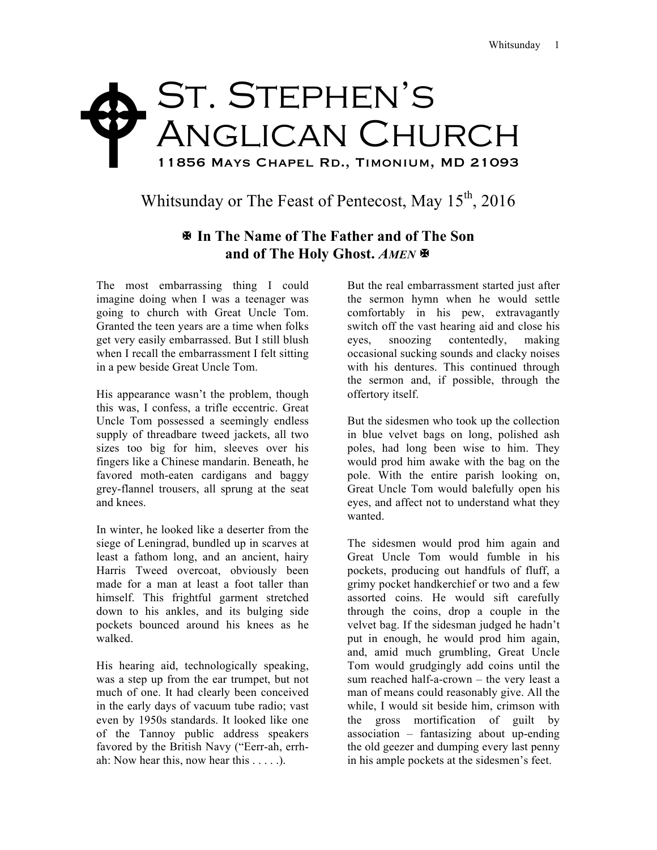## St. Stephen's ANGLICAN CHURCH 11856 Mays Chapel Rd., Timonium, MD 21093  $\blacklozenge$

## Whitsunday or The Feast of Pentecost, May  $15<sup>th</sup>$ , 2016

## X **In The Name of The Father and of The Son and of The Holy Ghost.** *AMEN* X

The most embarrassing thing I could imagine doing when I was a teenager was going to church with Great Uncle Tom. Granted the teen years are a time when folks get very easily embarrassed. But I still blush when I recall the embarrassment I felt sitting in a pew beside Great Uncle Tom.

His appearance wasn't the problem, though this was, I confess, a trifle eccentric. Great Uncle Tom possessed a seemingly endless supply of threadbare tweed jackets, all two sizes too big for him, sleeves over his fingers like a Chinese mandarin. Beneath, he favored moth-eaten cardigans and baggy grey-flannel trousers, all sprung at the seat and knees.

In winter, he looked like a deserter from the siege of Leningrad, bundled up in scarves at least a fathom long, and an ancient, hairy Harris Tweed overcoat, obviously been made for a man at least a foot taller than himself. This frightful garment stretched down to his ankles, and its bulging side pockets bounced around his knees as he walked.

His hearing aid, technologically speaking, was a step up from the ear trumpet, but not much of one. It had clearly been conceived in the early days of vacuum tube radio; vast even by 1950s standards. It looked like one of the Tannoy public address speakers favored by the British Navy ("Eerr-ah, errhah: Now hear this, now hear this . . . . .).

But the real embarrassment started just after the sermon hymn when he would settle comfortably in his pew, extravagantly switch off the vast hearing aid and close his eyes, snoozing contentedly, making occasional sucking sounds and clacky noises with his dentures. This continued through the sermon and, if possible, through the offertory itself.

But the sidesmen who took up the collection in blue velvet bags on long, polished ash poles, had long been wise to him. They would prod him awake with the bag on the pole. With the entire parish looking on, Great Uncle Tom would balefully open his eyes, and affect not to understand what they wanted.

The sidesmen would prod him again and Great Uncle Tom would fumble in his pockets, producing out handfuls of fluff, a grimy pocket handkerchief or two and a few assorted coins. He would sift carefully through the coins, drop a couple in the velvet bag. If the sidesman judged he hadn't put in enough, he would prod him again, and, amid much grumbling, Great Uncle Tom would grudgingly add coins until the sum reached half-a-crown – the very least a man of means could reasonably give. All the while. I would sit beside him, crimson with the gross mortification of guilt by association – fantasizing about up-ending the old geezer and dumping every last penny in his ample pockets at the sidesmen's feet.